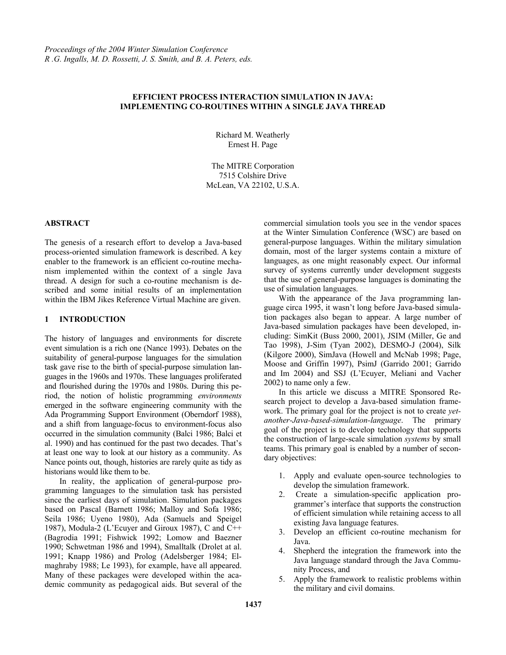### **EFFICIENT PROCESS INTERACTION SIMULATION IN JAVA: IMPLEMENTING CO-ROUTINES WITHIN A SINGLE JAVA THREAD**

Richard M. Weatherly Ernest H. Page

The MITRE Corporation 7515 Colshire Drive McLean, VA 22102, U.S.A.

#### **ABSTRACT**

The genesis of a research effort to develop a Java-based process-oriented simulation framework is described. A key enabler to the framework is an efficient co-routine mechanism implemented within the context of a single Java thread. A design for such a co-routine mechanism is described and some initial results of an implementation within the IBM Jikes Reference Virtual Machine are given.

#### **1 INTRODUCTION**

The history of languages and environments for discrete event simulation is a rich one (Nance 1993). Debates on the suitability of general-purpose languages for the simulation task gave rise to the birth of special-purpose simulation languages in the 1960s and 1970s. These languages proliferated and flourished during the 1970s and 1980s. During this period, the notion of holistic programming *environments* emerged in the software engineering community with the Ada Programming Support Environment (Oberndorf 1988), and a shift from language-focus to environment-focus also occurred in the simulation community (Balci 1986; Balci et al. 1990) and has continued for the past two decades. That's at least one way to look at our history as a community. As Nance points out, though, histories are rarely quite as tidy as historians would like them to be.

In reality, the application of general-purpose programming languages to the simulation task has persisted since the earliest days of simulation. Simulation packages based on Pascal (Barnett 1986; Malloy and Sofa 1986; Seila 1986; Uyeno 1980), Ada (Samuels and Speigel 1987), Modula-2 (L'Ecuyer and Giroux 1987), C and C++ (Bagrodia 1991; Fishwick 1992; Lomow and Baezner 1990; Schwetman 1986 and 1994), Smalltalk (Drolet at al. 1991; Knapp 1986) and Prolog (Adelsberger 1984; Elmaghraby 1988; Le 1993), for example, have all appeared. Many of these packages were developed within the academic community as pedagogical aids. But several of the commercial simulation tools you see in the vendor spaces at the Winter Simulation Conference (WSC) are based on general-purpose languages. Within the military simulation domain, most of the larger systems contain a mixture of languages, as one might reasonably expect. Our informal survey of systems currently under development suggests that the use of general-purpose languages is dominating the use of simulation languages.

With the appearance of the Java programming language circa 1995, it wasn't long before Java-based simulation packages also began to appear. A large number of Java-based simulation packages have been developed, including: SimKit (Buss 2000, 2001), JSIM (Miller, Ge and Tao 1998), J-Sim (Tyan 2002), DESMO-J (2004), Silk (Kilgore 2000), SimJava (Howell and McNab 1998; Page, Moose and Griffin 1997), PsimJ (Garrido 2001; Garrido and Im 2004) and SSJ (L'Ecuyer, Meliani and Vacher 2002) to name only a few.

In this article we discuss a MITRE Sponsored Research project to develop a Java-based simulation framework. The primary goal for the project is not to create *yetanother-Java-based-simulation-language*. The primary goal of the project is to develop technology that supports the construction of large-scale simulation *systems* by small teams. This primary goal is enabled by a number of secondary objectives:

- 1. Apply and evaluate open-source technologies to develop the simulation framework.
- 2. Create a simulation-specific application programmer's interface that supports the construction of efficient simulation while retaining access to all existing Java language features.
- 3. Develop an efficient co-routine mechanism for Java.
- 4. Shepherd the integration the framework into the Java language standard through the Java Community Process, and
- 5. Apply the framework to realistic problems within the military and civil domains.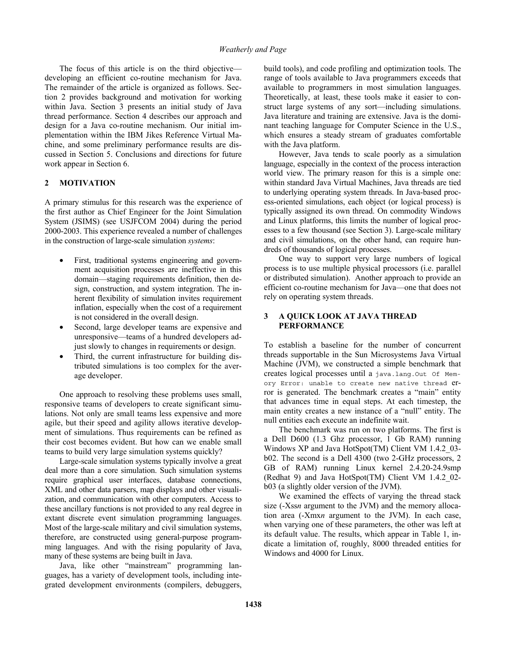The focus of this article is on the third objective developing an efficient co-routine mechanism for Java. The remainder of the article is organized as follows. Section 2 provides background and motivation for working within Java. Section 3 presents an initial study of Java thread performance. Section 4 describes our approach and design for a Java co-routine mechanism. Our initial implementation within the IBM Jikes Reference Virtual Machine, and some preliminary performance results are discussed in Section 5. Conclusions and directions for future work appear in Section 6.

# **2 MOTIVATION**

A primary stimulus for this research was the experience of the first author as Chief Engineer for the Joint Simulation System (JSIMS) (see USJFCOM 2004) during the period 2000-2003. This experience revealed a number of challenges in the construction of large-scale simulation *systems*:

- First, traditional systems engineering and government acquisition processes are ineffective in this domain—staging requirements definition, then design, construction, and system integration. The inherent flexibility of simulation invites requirement inflation, especially when the cost of a requirement is not considered in the overall design.
- Second, large developer teams are expensive and unresponsive—teams of a hundred developers adjust slowly to changes in requirements or design.
- Third, the current infrastructure for building distributed simulations is too complex for the average developer.

One approach to resolving these problems uses small, responsive teams of developers to create significant simulations. Not only are small teams less expensive and more agile, but their speed and agility allows iterative development of simulations. Thus requirements can be refined as their cost becomes evident. But how can we enable small teams to build very large simulation systems quickly?

Large-scale simulation systems typically involve a great deal more than a core simulation. Such simulation systems require graphical user interfaces, database connections, XML and other data parsers, map displays and other visualization, and communication with other computers. Access to these ancillary functions is not provided to any real degree in extant discrete event simulation programming languages. Most of the large-scale military and civil simulation systems, therefore, are constructed using general-purpose programming languages. And with the rising popularity of Java, many of these systems are being built in Java.

Java, like other "mainstream" programming languages, has a variety of development tools, including integrated development environments (compilers, debuggers,

build tools), and code profiling and optimization tools. The range of tools available to Java programmers exceeds that available to programmers in most simulation languages. Theoretically, at least, these tools make it easier to construct large systems of any sort—including simulations. Java literature and training are extensive. Java is the dominant teaching language for Computer Science in the U.S., which ensures a steady stream of graduates comfortable with the Java platform.

However, Java tends to scale poorly as a simulation language, especially in the context of the process interaction world view. The primary reason for this is a simple one: within standard Java Virtual Machines, Java threads are tied to underlying operating system threads. In Java-based process-oriented simulations, each object (or logical process) is typically assigned its own thread. On commodity Windows and Linux platforms, this limits the number of logical processes to a few thousand (see Section 3). Large-scale military and civil simulations, on the other hand, can require hundreds of thousands of logical processes.

One way to support very large numbers of logical process is to use multiple physical processors (i.e. parallel or distributed simulation). Another approach to provide an efficient co-routine mechanism for Java—one that does not rely on operating system threads.

# **3 A QUICK LOOK AT JAVA THREAD PERFORMANCE**

To establish a baseline for the number of concurrent threads supportable in the Sun Microsystems Java Virtual Machine (JVM), we constructed a simple benchmark that creates logical processes until a java.lang.Out Of Memory Error: unable to create new native thread  $er$ ror is generated. The benchmark creates a "main" entity that advances time in equal steps. At each timestep, the main entity creates a new instance of a "null" entity. The null entities each execute an indefinite wait.

The benchmark was run on two platforms. The first is a Dell D600 (1.3 Ghz processor, 1 Gb RAM) running Windows XP and Java HotSpot(TM) Client VM 1.4.2\_03 b02. The second is a Dell 4300 (two 2-GHz processors, 2 GB of RAM) running Linux kernel 2.4.20-24.9smp (Redhat 9) and Java HotSpot(TM) Client VM 1.4.2\_02 b03 (a slightly older version of the JVM).

We examined the effects of varying the thread stack size (-Xss*n* argument to the JVM) and the memory allocation area (-Xmx*n* argument to the JVM). In each case, when varying one of these parameters, the other was left at its default value. The results, which appear in Table 1, indicate a limitation of, roughly, 8000 threaded entities for Windows and 4000 for Linux.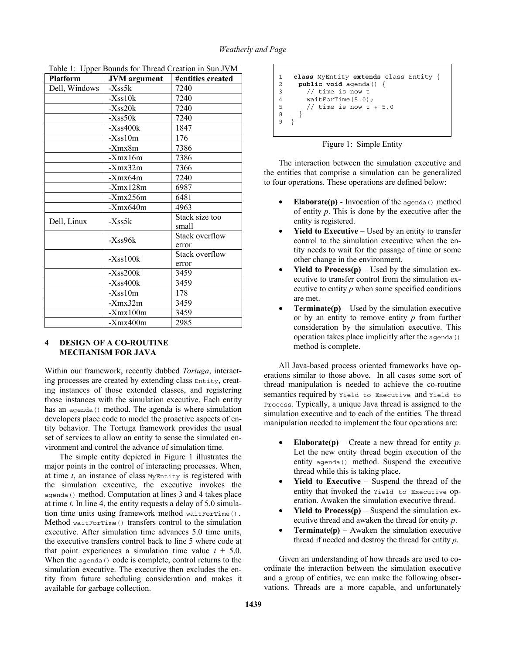| <b>Platform</b> | <b>JVM</b> argument | #entities created       |
|-----------------|---------------------|-------------------------|
| Dell, Windows   | $-X$ ss5 $k$        | 7240                    |
|                 | $-Xss10k$           | 7240                    |
|                 | $-Xss20k$           | 7240                    |
|                 | $-Xss50k$           | 7240                    |
|                 | $-X$ ss $400k$      | 1847                    |
|                 | $-Xss10m$           | 176                     |
|                 | -Xmx8m              | 7386                    |
|                 | -Xmx16m             | 7386                    |
|                 | -Xmx32m             | 7366                    |
|                 | $-Xmx64m$           | 7240                    |
|                 | $-Xmx128m$          | 6987                    |
|                 | $-Xmx256m$          | 6481                    |
|                 | $-Xmx640m$          | 4963                    |
| Dell, Linux     | $-X$ ss5 $k$        | Stack size too<br>small |
|                 | -Xss96k             | Stack overflow<br>error |
|                 | $-X$ ss $100k$      | Stack overflow<br>error |
|                 | $-Xss200k$          | 3459                    |
|                 | $-X$ ss $400k$      | 3459                    |
|                 | $-Xss10m$           | 178                     |
|                 | $-Xmx32m$           | 3459                    |
|                 | $-Xmx100m$          | 3459                    |
|                 | $-Xmx400m$          | 2985                    |

|  | Table 1: Upper Bounds for Thread Creation in Sun JVM |  |  |  |
|--|------------------------------------------------------|--|--|--|
|--|------------------------------------------------------|--|--|--|

### **4 DESIGN OF A CO-ROUTINE MECHANISM FOR JAVA**

Within our framework, recently dubbed *Tortuga*, interacting processes are created by extending class Entity, creating instances of those extended classes, and registering those instances with the simulation executive. Each entity has an agenda() method. The agenda is where simulation developers place code to model the proactive aspects of entity behavior. The Tortuga framework provides the usual set of services to allow an entity to sense the simulated environment and control the advance of simulation time.

The simple entity depicted in Figure 1 illustrates the major points in the control of interacting processes. When, at time *t*, an instance of class MyEntity is registered with the simulation executive, the executive invokes the agenda() method. Computation at lines 3 and 4 takes place at time *t*. In line 4, the entity requests a delay of 5.0 simulation time units using framework method waitForTime(). Method waitForTime() transfers control to the simulation executive. After simulation time advances 5.0 time units, the executive transfers control back to line 5 where code at that point experiences a simulation time value  $t + 5.0$ . When the  $a^{\text{q}}$  agenda() code is complete, control returns to the simulation executive. The executive then excludes the entity from future scheduling consideration and makes it available for garbage collection.

| 1 | class MyEntity extends class Entity { |
|---|---------------------------------------|
| 2 | public void agenda() {                |
| 3 | // time is now t                      |
| 4 | waitForTime(5.0);                     |
| 5 | // time is now t + 5.0                |
| 8 |                                       |
|   |                                       |

Figure 1: Simple Entity

The interaction between the simulation executive and the entities that comprise a simulation can be generalized to four operations. These operations are defined below:

- **Elaborate(p)** Invocation of the  $aqenda()$  method of entity *p*. This is done by the executive after the entity is registered.
- Yield to Executive Used by an entity to transfer control to the simulation executive when the entity needs to wait for the passage of time or some other change in the environment.
- **Yield to Process** $(p)$  Used by the simulation executive to transfer control from the simulation executive to entity *p* when some specified conditions are met.
- **Terminate(p)** Used by the simulation executive or by an entity to remove entity *p* from further consideration by the simulation executive. This operation takes place implicitly after the agenda() method is complete.

All Java-based process oriented frameworks have operations similar to those above. In all cases some sort of thread manipulation is needed to achieve the co-routine semantics required by Yield to Executive and Yield to Process. Typically, a unique Java thread is assigned to the simulation executive and to each of the entities. The thread manipulation needed to implement the four operations are:

- **Elaborate(p)** Create a new thread for entity  $p$ . Let the new entity thread begin execution of the entity agenda() method. Suspend the executive thread while this is taking place.
- Yield to Executive Suspend the thread of the entity that invoked the Yield to Executive operation. Awaken the simulation executive thread.
- **Yield to Process** $(p)$  Suspend the simulation executive thread and awaken the thread for entity *p*.
- **Terminate(n)** Awaken the simulation executive thread if needed and destroy the thread for entity *p*.

Given an understanding of how threads are used to coordinate the interaction between the simulation executive and a group of entities, we can make the following observations. Threads are a more capable, and unfortunately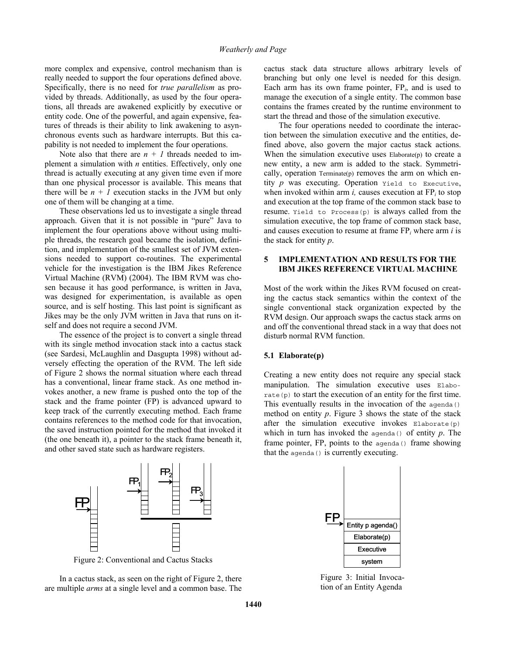more complex and expensive, control mechanism than is really needed to support the four operations defined above. Specifically, there is no need for *true parallelism* as provided by threads. Additionally, as used by the four operations, all threads are awakened explicitly by executive or entity code. One of the powerful, and again expensive, features of threads is their ability to link awakening to asynchronous events such as hardware interrupts. But this capability is not needed to implement the four operations.

Note also that there are  $n + 1$  threads needed to implement a simulation with *n* entities. Effectively, only one thread is actually executing at any given time even if more than one physical processor is available. This means that there will be  $n + 1$  execution stacks in the JVM but only one of them will be changing at a time.

These observations led us to investigate a single thread approach. Given that it is not possible in "pure" Java to implement the four operations above without using multiple threads, the research goal became the isolation, definition, and implementation of the smallest set of JVM extensions needed to support co-routines. The experimental vehicle for the investigation is the IBM Jikes Reference Virtual Machine (RVM) (2004). The IBM RVM was chosen because it has good performance, is written in Java, was designed for experimentation, is available as open source, and is self hosting. This last point is significant as Jikes may be the only JVM written in Java that runs on itself and does not require a second JVM.

The essence of the project is to convert a single thread with its single method invocation stack into a cactus stack (see Sardesi, McLaughlin and Dasgupta 1998) without adversely effecting the operation of the RVM. The left side of Figure 2 shows the normal situation where each thread has a conventional, linear frame stack. As one method invokes another, a new frame is pushed onto the top of the stack and the frame pointer (FP) is advanced upward to keep track of the currently executing method. Each frame contains references to the method code for that invocation, the saved instruction pointed for the method that invoked it (the one beneath it), a pointer to the stack frame beneath it, and other saved state such as hardware registers.



Figure 2: Conventional and Cactus Stacks

In a cactus stack, as seen on the right of Figure 2, there are multiple *arms* at a single level and a common base. The

cactus stack data structure allows arbitrary levels of branching but only one level is needed for this design. Each arm has its own frame pointer,  $FP_i$ , and is used to manage the execution of a single entity. The common base contains the frames created by the runtime environment to start the thread and those of the simulation executive.

The four operations needed to coordinate the interaction between the simulation executive and the entities, defined above, also govern the major cactus stack actions. When the simulation executive uses Elaborate(p) to create a new entity, a new arm is added to the stack. Symmetrically, operation  $Terminate(p)$  removes the arm on which entity *p* was executing. Operation Yield to Executive, when invoked within arm  $i$ , causes execution at  $FP<sub>i</sub>$  to stop and execution at the top frame of the common stack base to resume. Yield to Process(p) is always called from the simulation executive, the top frame of common stack base, and causes execution to resume at frame FP*i* where arm *i* is the stack for entity *p*.

## **5 IMPLEMENTATION AND RESULTS FOR THE IBM JIKES REFERENCE VIRTUAL MACHINE**

Most of the work within the Jikes RVM focused on creating the cactus stack semantics within the context of the single conventional stack organization expected by the RVM design. Our approach swaps the cactus stack arms on and off the conventional thread stack in a way that does not disturb normal RVM function.

#### **5.1 Elaborate(p)**

Creating a new entity does not require any special stack manipulation. The simulation executive uses Elaborate(p) to start the execution of an entity for the first time. This eventually results in the invocation of the agenda() method on entity *p*. Figure 3 shows the state of the stack after the simulation executive invokes  $E$ laborate(p) which in turn has invoked the  $a$ genda() of entity  $p$ . The frame pointer, FP, points to the agenda() frame showing that the agenda() is currently executing.



Figure 3: Initial Invocation of an Entity Agenda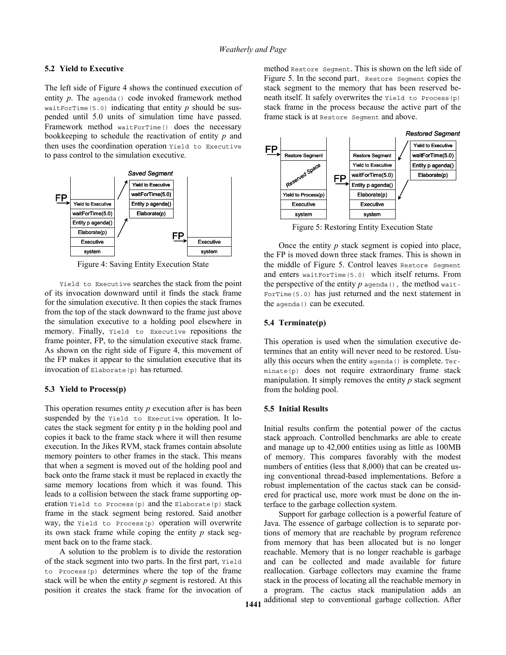### **5.2 Yield to Executive**

The left side of Figure 4 shows the continued execution of entity  $p$ . The agenda() code invoked framework method waitForTime(5.0) indicating that entity  $p$  should be suspended until 5.0 units of simulation time have passed. Framework method waitForTime() does the necessary bookkeeping to schedule the reactivation of entity *p* and then uses the coordination operation Yield to Executive to pass control to the simulation executive.



Figure 4: Saving Entity Execution State

Yield to Executive searches the stack from the point of its invocation downward until it finds the stack frame for the simulation executive. It then copies the stack frames from the top of the stack downward to the frame just above the simulation executive to a holding pool elsewhere in memory. Finally, Yield to Executive repositions the frame pointer, FP, to the simulation executive stack frame. As shown on the right side of Figure 4, this movement of the FP makes it appear to the simulation executive that its invocation of  $E$ laborate(p) has returned.

### **5.3 Yield to Process(p)**

This operation resumes entity *p* execution after is has been suspended by the Yield to Executive operation. It locates the stack segment for entity p in the holding pool and copies it back to the frame stack where it will then resume execution. In the Jikes RVM, stack frames contain absolute memory pointers to other frames in the stack. This means that when a segment is moved out of the holding pool and back onto the frame stack it must be replaced in exactly the same memory locations from which it was found. This leads to a collision between the stack frame supporting operation Yield to Process(p) and the Elaborate(p) stack frame in the stack segment being restored. Said another way, the Yield to Process(p) operation will overwrite its own stack frame while coping the entity *p* stack segment back on to the frame stack.

A solution to the problem is to divide the restoration of the stack segment into two parts. In the first part, Yield to Process $(p)$  determines where the top of the frame stack will be when the entity *p* segment is restored. At this position it creates the stack frame for the invocation of method Restore Segment. This is shown on the left side of Figure 5. In the second part, Restore Segment copies the stack segment to the memory that has been reserved beneath itself. It safely overwrites the Yield to Process(p) stack frame in the process because the active part of the frame stack is at Restore Segment and above.



Figure 5: Restoring Entity Execution State

Once the entity *p* stack segment is copied into place, the FP is moved down three stack frames. This is shown in the middle of Figure 5. Control leaves Restore Segment and enters waitForTime(5.0) which itself returns. From the perspective of the entity  $p$  agenda(), the method wait-ForTime(5.0) has just returned and the next statement in the agenda() can be executed.

## **5.4 Terminate(p)**

This operation is used when the simulation executive determines that an entity will never need to be restored. Usually this occurs when the entity agenda() is complete. Terminate(p) does not require extraordinary frame stack manipulation. It simply removes the entity *p* stack segment from the holding pool.

### **5.5 Initial Results**

Initial results confirm the potential power of the cactus stack approach. Controlled benchmarks are able to create and manage up to 42,000 entities using as little as 100MB of memory. This compares favorably with the modest numbers of entities (less that 8,000) that can be created using conventional thread-based implementations. Before a robust implementation of the cactus stack can be considered for practical use, more work must be done on the interface to the garbage collection system.

Support for garbage collection is a powerful feature of Java. The essence of garbage collection is to separate portions of memory that are reachable by program reference from memory that has been allocated but is no longer reachable. Memory that is no longer reachable is garbage and can be collected and made available for future reallocation. Garbage collectors may examine the frame stack in the process of locating all the reachable memory in a program. The cactus stack manipulation adds an additional step to conventional garbage collection. After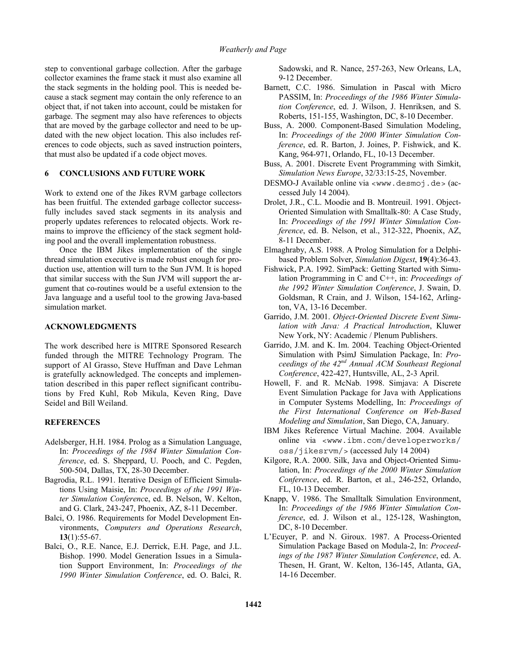step to conventional garbage collection. After the garbage collector examines the frame stack it must also examine all the stack segments in the holding pool. This is needed because a stack segment may contain the only reference to an object that, if not taken into account, could be mistaken for garbage. The segment may also have references to objects that are moved by the garbage collector and need to be updated with the new object location. This also includes references to code objects, such as saved instruction pointers, that must also be updated if a code object moves.

# **6 CONCLUSIONS AND FUTURE WORK**

Work to extend one of the Jikes RVM garbage collectors has been fruitful. The extended garbage collector successfully includes saved stack segments in its analysis and properly updates references to relocated objects. Work remains to improve the efficiency of the stack segment holding pool and the overall implementation robustness.

Once the IBM Jikes implementation of the single thread simulation executive is made robust enough for production use, attention will turn to the Sun JVM. It is hoped that similar success with the Sun JVM will support the argument that co-routines would be a useful extension to the Java language and a useful tool to the growing Java-based simulation market.

## **ACKNOWLEDGMENTS**

The work described here is MITRE Sponsored Research funded through the MITRE Technology Program. The support of Al Grasso, Steve Huffman and Dave Lehman is gratefully acknowledged. The concepts and implementation described in this paper reflect significant contributions by Fred Kuhl, Rob Mikula, Keven Ring, Dave Seidel and Bill Weiland.

# **REFERENCES**

- Adelsberger, H.H. 1984. Prolog as a Simulation Language, In: *Proceedings of the 1984 Winter Simulation Conference*, ed. S. Sheppard, U. Pooch, and C. Pegden, 500-504, Dallas, TX, 28-30 December.
- Bagrodia, R.L. 1991. Iterative Design of Efficient Simulations Using Maisie, In: *Proceedings of the 1991 Winter Simulation Conferenc*e, ed. B. Nelson, W. Kelton, and G. Clark, 243-247, Phoenix, AZ, 8-11 December.
- Balci, O. 1986. Requirements for Model Development Environments, *Computers and Operations Research*, **13**(1):55-67.
- Balci, O., R.E. Nance, E.J. Derrick, E.H. Page, and J.L. Bishop. 1990. Model Generation Issues in a Simulation Support Environment, In: *Proceedings of the 1990 Winter Simulation Conference*, ed. O. Balci, R.

Sadowski, and R. Nance, 257-263, New Orleans, LA, 9-12 December.

- Barnett, C.C. 1986. Simulation in Pascal with Micro PASSIM, In: *Proceedings of the 1986 Winter Simulation Conference*, ed. J. Wilson, J. Henriksen, and S. Roberts, 151-155, Washington, DC, 8-10 December.
- Buss, A. 2000. Component-Based Simulation Modeling, In: *Proceedings of the 2000 Winter Simulation Conference*, ed. R. Barton, J. Joines, P. Fishwick, and K. Kang, 964-971, Orlando, FL, 10-13 December.
- Buss, A. 2001. Discrete Event Programming with Simkit, *Simulation News Europe*, 32/33:15-25, November.
- DESMO-J Available online via <www.desmoj.de> (accessed July 14 2004).
- Drolet, J.R., C.L. Moodie and B. Montreuil. 1991. Object-Oriented Simulation with Smalltalk-80: A Case Study, In: *Proceedings of the 1991 Winter Simulation Conference*, ed. B. Nelson, et al., 312-322, Phoenix, AZ, 8-11 December.
- Elmaghraby, A.S. 1988. A Prolog Simulation for a Delphibased Problem Solver, *Simulation Digest*, **19**(4):36-43.
- Fishwick, P.A. 1992. SimPack: Getting Started with Simulation Programming in C and C++, in: *Proceedings of the 1992 Winter Simulation Conference*, J. Swain, D. Goldsman, R Crain, and J. Wilson, 154-162, Arlington, VA, 13-16 December.
- Garrido, J.M. 2001. *Object-Oriented Discrete Event Simulation with Java: A Practical Introduction*, Kluwer New York, NY: Academic / Plenum Publishers.
- Garrido, J.M. and K. Im. 2004. Teaching Object-Oriented Simulation with PsimJ Simulation Package, In: *Proceedings of the 42nd Annual ACM Southeast Regional Conference*, 422-427, Huntsville, AL, 2-3 April.
- Howell, F. and R. McNab. 1998. Simjava: A Discrete Event Simulation Package for Java with Applications in Computer Systems Modelling, In: *Proceedings of the First International Conference on Web-Based Modeling and Simulation*, San Diego, CA, January.
- IBM Jikes Reference Virtual Machine. 2004. Available online via <www.ibm.com/developerworks/ oss/jikesrvm/> (accessed July 14 2004)
- Kilgore, R.A. 2000. Silk, Java and Object-Oriented Simulation, In: *Proceedings of the 2000 Winter Simulation Conference*, ed. R. Barton, et al., 246-252, Orlando, FL, 10-13 December.
- Knapp, V. 1986. The Smalltalk Simulation Environment, In: *Proceedings of the 1986 Winter Simulation Conference*, ed. J. Wilson et al., 125-128, Washington, DC, 8-10 December.
- L'Ecuyer, P. and N. Giroux. 1987. A Process-Oriented Simulation Package Based on Modula-2, In: *Proceedings of the 1987 Winter Simulation Conference*, ed. A. Thesen, H. Grant, W. Kelton, 136-145, Atlanta, GA, 14-16 December.